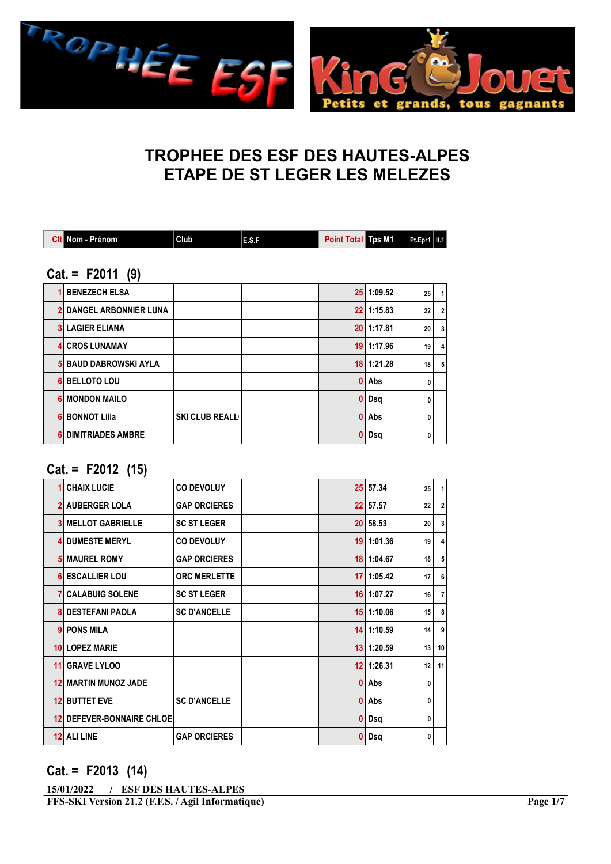

# TROPHEE DES ESF DES HAUTES-ALPES ETAPE DE ST LEGER LES MELEZES

| Clt Nom - Prénom               | Club                  | E.S.F | <b>Point Total Tps M1</b> |                | Pt.Epr1   It.1  |                |  |  |  |  |  |  |
|--------------------------------|-----------------------|-------|---------------------------|----------------|-----------------|----------------|--|--|--|--|--|--|
| $Cat = F2011 (9)$              |                       |       |                           |                |                 |                |  |  |  |  |  |  |
| <b>BENEZECH ELSA</b>           |                       |       |                           | 25 1:09.52     | 25              | 1              |  |  |  |  |  |  |
| <b>2 DANGEL ARBONNIER LUNA</b> |                       |       |                           | 22 1:15.83     | 22              | $\overline{2}$ |  |  |  |  |  |  |
| <b>3 LAGIER ELIANA</b>         |                       |       |                           | 20 1:17.81     | 20              | 3              |  |  |  |  |  |  |
| <b>4 CROS LUNAMAY</b>          |                       |       |                           | 19 1:17.96     | 19 <sup>1</sup> | 4              |  |  |  |  |  |  |
| 5 BAUD DABROWSKI AYLA          |                       |       |                           | $18$   1:21.28 | 18              | 5              |  |  |  |  |  |  |
| 6 BELLOTO LOU                  |                       |       | 0                         | l Abs          | 0               |                |  |  |  |  |  |  |
| <b>6 MONDON MAILO</b>          |                       |       | 0                         | Dsq            | 0               |                |  |  |  |  |  |  |
| <b>6 BONNOT Lilia</b>          | <b>SKI CLUB REALL</b> |       | 0                         | Abs            | 0               |                |  |  |  |  |  |  |
| 6 DIMITRIADES AMBRE            |                       |       | $\bf{0}$                  | Dsq            | 0               |                |  |  |  |  |  |  |

#### Cat. = F2012 (15)

|    | <b>CHAIX LUCIE</b>            | <b>CO DEVOLUY</b>   |    | 25 57.34       | 25 | 1               |
|----|-------------------------------|---------------------|----|----------------|----|-----------------|
|    | <b>AUBERGER LOLA</b>          | <b>GAP ORCIERES</b> |    | 22 57.57       | 22 | 2 <sup>1</sup>  |
|    | <b>MELLOT GABRIELLE</b>       | <b>SC ST LEGER</b>  |    | 20 58.53       | 20 | 3 <sup>1</sup>  |
| Δ  | <b>DUMESTE MERYL</b>          | <b>CO DEVOLUY</b>   |    | 19 1:01.36     | 19 | $\overline{4}$  |
|    | <b>IMAUREL ROMY</b>           | <b>GAP ORCIERES</b> |    | 18 1:04.67     | 18 | 5 <sup>1</sup>  |
|    | <b>6 ESCALLIER LOU</b>        | <b>ORC MERLETTE</b> |    | $17$   1:05.42 | 17 | 6               |
|    | <b>7 CALABUIG SOLENE</b>      | <b>SC ST LEGER</b>  |    | $16$   1:07.27 | 16 | 7 <sup>1</sup>  |
|    | <b>DESTEFANI PAOLA</b>        | <b>SC D'ANCELLE</b> |    | 15 1:10.06     | 15 | 8               |
|    | 9 PONS MILA                   |                     |    | $14$   1:10.59 | 14 | $\overline{9}$  |
|    | 10 LOPEZ MARIE                |                     | 13 | 11:20.59       | 13 | 10 <sup>1</sup> |
| 11 | <b>GRAVE LYLOO</b>            |                     |    | $12$   1:26.31 | 12 | 11              |
| 12 | I MARTIN MUNOZ JADE           |                     | n  | Abs            | 0  |                 |
| 12 | <b>BUTTET EVE</b>             | <b>SC D'ANCELLE</b> | 0  | Abs            | 0  |                 |
| 12 | <b>DEFEVER-BONNAIRE CHLOE</b> |                     | 0  | Dsq            | 0  |                 |
| 12 | <b>ALILINE</b>                | <b>GAP ORCIERES</b> | 0  | Dsq            | 0  |                 |
|    |                               |                     |    |                |    |                 |

#### Cat. = F2013 (14)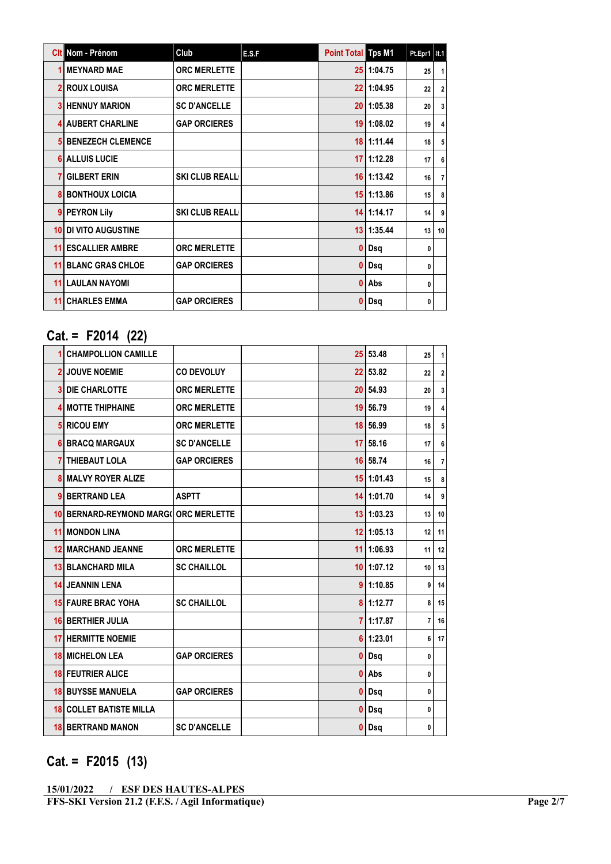|    | <b>Cit</b> Nom - Prénom  | Club                  | E.S.F | <b>Point Total Tps M1</b> |                | $Pt.Epr1$   It.1 |                         |
|----|--------------------------|-----------------------|-------|---------------------------|----------------|------------------|-------------------------|
|    | <b>MEYNARD MAE</b>       | <b>ORC MERLETTE</b>   |       |                           | 25 1:04.75     | 25               | $\mathbf{1}$            |
|    | <b>ROUX LOUISA</b>       | <b>ORC MERLETTE</b>   |       | 22                        | 1:04.95        | 22               | 2 <sup>1</sup>          |
|    | <b>HENNUY MARION</b>     | <b>SC D'ANCELLE</b>   |       | 20                        | 1:05.38        | 20               | 3                       |
|    | <b>AUBERT CHARLINE</b>   | <b>GAP ORCIERES</b>   |       | 19                        | 1:08.02        | 19               | $\overline{\mathbf{4}}$ |
|    | <b>BENEZECH CLEMENCE</b> |                       |       |                           | 18 1:11.44     | 18               | 5                       |
|    | <b>ALLUIS LUCIE</b>      |                       |       | 17                        | 1:12.28        | 17               | 6                       |
|    | <b>GILBERT ERIN</b>      | <b>SKI CLUB REALL</b> |       |                           | $16$   1:13.42 | 16               | $\overline{7}$          |
|    | <b>BONTHOUX LOICIA</b>   |                       |       | 15                        | 1:13.86        | 15               | 8                       |
|    | <b>PEYRON Lily</b>       | <b>SKI CLUB REALL</b> |       |                           | $14$   1:14.17 | 14               | 9                       |
| 10 | DI VITO AUGUSTINE        |                       |       | 13                        | 1:35.44        | 13               | 10 <sup>1</sup>         |
| 11 | <b>ESCALLIER AMBRE</b>   | <b>ORC MERLETTE</b>   |       | 0                         | Dsq            | 0                |                         |
| 11 | <b>BLANC GRAS CHLOE</b>  | <b>GAP ORCIERES</b>   |       | 0                         | Dsq            | 0                |                         |
| 11 | <b>LAULAN NAYOMI</b>     |                       |       | 0                         | Abs            | 0                |                         |
| 11 | <b>CHARLES EMMA</b>      | <b>GAP ORCIERES</b>   |       |                           | Dsq            | 0                |                         |

# Cat. = F2014 (22)

|    | <b>CHAMPOLLION CAMILLE</b>         |                     |  | 25 53.48       | 25             | $\mathbf{1}$   |
|----|------------------------------------|---------------------|--|----------------|----------------|----------------|
|    | <b>2 JOUVE NOEMIE</b>              | <b>CO DEVOLUY</b>   |  | 22 53.82       | 22             | $\overline{2}$ |
| 3  | <b>DIE CHARLOTTE</b>               | <b>ORC MERLETTE</b> |  | 20 54.93       | 20             | $\mathbf{3}$   |
| 4  | <b>I MOTTE THIPHAINE</b>           | <b>ORC MERLETTE</b> |  | 19 56.79       | 19             | 4              |
| 5  | <b>RICOU EMY</b>                   | <b>ORC MERLETTE</b> |  | 18 56.99       | 18             | 5              |
|    | 6 BRACQ MARGAUX                    | <b>SC D'ANCELLE</b> |  | $17$ 58.16     | 17             | 6              |
|    | <b>THIEBAUT LOLA</b>               | <b>GAP ORCIERES</b> |  | 16 58.74       | 16             | $\overline{7}$ |
| 8  | I MALVY ROYER ALIZE                |                     |  | $15$   1:01.43 | 15             | 8              |
| 9  | <b>BERTRAND LEA</b>                | <b>ASPTT</b>        |  | $14$   1:01.70 | 14             | 9              |
| 10 | BERNARD-REYMOND MARG( ORC MERLETTE |                     |  | $13$   1:03.23 | 13             | 10             |
| 11 | <b>MONDON LINA</b>                 |                     |  | $12$   1:05.13 | 12             | 11             |
| 12 | <b>MARCHAND JEANNE</b>             | <b>ORC MERLETTE</b> |  | $11$   1:06.93 | 11             | 12             |
|    | <b>13 BLANCHARD MILA</b>           | <b>SC CHAILLOL</b>  |  | $10$   1:07.12 | 10             | 13             |
| 14 | <b>JEANNIN LENA</b>                |                     |  | 911:10.85      | 9              | 14             |
|    | <b>15 FAURE BRAC YOHA</b>          | <b>SC CHAILLOL</b>  |  | 811:12.77      | 8              | 15             |
|    | <b>16 BERTHIER JULIA</b>           |                     |  | 7 1:17.87      | $\overline{7}$ | 16             |
| 17 | <b>HERMITTE NOEMIE</b>             |                     |  | 6 1:23.01      | 6              | 17             |
|    | <b>18 MICHELON LEA</b>             | <b>GAP ORCIERES</b> |  | $0$ Dsq        | 0              |                |
| 18 | <b>FEUTRIER ALICE</b>              |                     |  | $0$ Abs        | 0              |                |
|    | <b>18 BUYSSE MANUELA</b>           | <b>GAP ORCIERES</b> |  | $0 $ Dsq       | 0              |                |
|    | <b>18 COLLET BATISTE MILLA</b>     |                     |  | $0$ Dsq        | 0              |                |
|    | <b>18 BERTRAND MANON</b>           | <b>SC D'ANCELLE</b> |  | $0 $ Dsq       | $\mathbf{0}$   |                |

## Cat. = F2015 (13)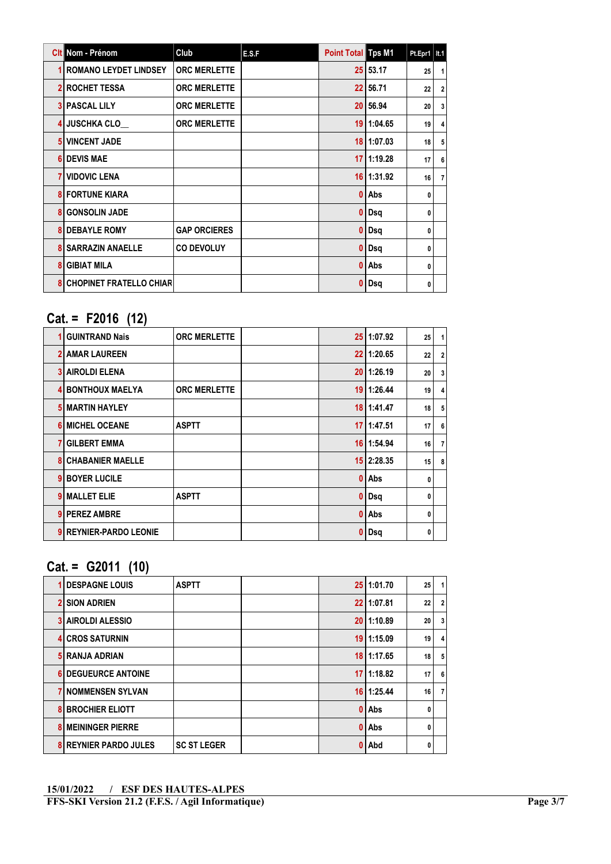|                | Cit Nom - Prénom               | Club                | E.S.F | <b>Point Total Tps M1</b> |                | Pt.Epr1   It.1 |                         |
|----------------|--------------------------------|---------------------|-------|---------------------------|----------------|----------------|-------------------------|
|                | <b>ROMANO LEYDET LINDSEY</b>   | <b>ORC MERLETTE</b> |       |                           | 25 53.17       | 25             | 1                       |
|                | <b>2 ROCHET TESSA</b>          | <b>ORC MERLETTE</b> |       |                           | 22 56.71       | 22             | 2 <sup>1</sup>          |
|                | <b>3 PASCAL LILY</b>           | <b>ORC MERLETTE</b> |       |                           | 20 56.94       | 20             | 3 <sup>1</sup>          |
|                | <b>JUSCHKA CLO</b>             | <b>ORC MERLETTE</b> |       | 19                        | 1:04.65        | 19             | $\overline{\mathbf{4}}$ |
| 5 <sup>1</sup> | <b>I VINCENT JADE</b>          |                     |       |                           | $18$   1:07.03 | 18             | 5                       |
| 6              | <b>DEVIS MAE</b>               |                     |       | 17                        | 11:19.28       | 17             | 6                       |
|                | <b>VIDOVIC LENA</b>            |                     |       |                           | $16$   1:31.92 | 16             | $\overline{7}$          |
|                | <b>FORTUNE KIARA</b>           |                     |       | 0                         | Abs            | 0              |                         |
| 8              | <b>GONSOLIN JADE</b>           |                     |       |                           | Dsq            | 0              |                         |
|                | <b>DEBAYLE ROMY</b>            | <b>GAP ORCIERES</b> |       |                           | Dsq            | 0              |                         |
|                | <b>SARRAZIN ANAELLE</b>        | <b>CO DEVOLUY</b>   |       |                           | Dsq            | 0              |                         |
| 8              | <b>GIBIAT MILA</b>             |                     |       | 0                         | l Abs          | 0              |                         |
| 8              | <b>CHOPINET FRATELLO CHIAR</b> |                     |       |                           | Dsq            | 0              |                         |

### Cat. = F2016 (12)

|                | <b>GUINTRAND Nais</b>     | <b>ORC MERLETTE</b> |    | 25 1:07.92     | 25 | $\mathbf{1}$   |
|----------------|---------------------------|---------------------|----|----------------|----|----------------|
|                | <b>2 AMAR LAUREEN</b>     |                     |    | 22 1:20.65     | 22 | $\overline{2}$ |
|                | <b>3 AIROLDI ELENA</b>    |                     |    | $20$   1:26.19 | 20 | $\overline{3}$ |
|                | <b>4 BONTHOUX MAELYA</b>  | <b>ORC MERLETTE</b> |    | 19 1:26.44     | 19 | 4              |
|                | <b>5 MARTIN HAYLEY</b>    |                     |    | $18$   1:41.47 | 18 | 5              |
|                | <b>6 MICHEL OCEANE</b>    | <b>ASPTT</b>        | 17 | 1:47.51        | 17 | 6              |
| 7 <sub>l</sub> | <b>GILBERT EMMA</b>       |                     |    | $16$   1:54.94 | 16 | $\overline{7}$ |
|                | <b>8 CHABANIER MAELLE</b> |                     |    | 15 2:28.35     | 15 | 8              |
| 9              | <b>BOYER LUCILE</b>       |                     | 0  | Abs            | 0  |                |
| 9              | <b>MALLET ELIE</b>        | <b>ASPTT</b>        | 0  | Dsq            | 0  |                |
|                | 9 PEREZ AMBRE             |                     | 0  | Abs            | 0  |                |
|                | 9 REYNIER-PARDO LEONIE    |                     | 0  | Dsq            | 0  |                |

### Cat. = G2011 (10)

| <b>DESPAGNE LOUIS</b>      | <b>ASPTT</b>       |   | 25 1:01.70     | 25           |                         |
|----------------------------|--------------------|---|----------------|--------------|-------------------------|
| I SION ADRIEN              |                    |   | 22 1:07.81     | 22           | $\overline{2}$          |
| <b>3 AIROLDI ALESSIO</b>   |                    |   | 20 1:10.89     | 20           | 3                       |
| <b>4 CROS SATURNIN</b>     |                    |   | 19 1:15.09     | 19           | $\overline{\mathbf{4}}$ |
| 5 RANJA ADRIAN             |                    |   | 18 1:17.65     | 18           | 5                       |
| <b>6 DEGUEURCE ANTOINE</b> |                    |   | $17$   1:18.82 | 17           | 6                       |
| <b>7 NOMMENSEN SYLVAN</b>  |                    |   | 16 1:25.44     | 16           | $\overline{7}$          |
| <b>BROCHIER ELIOTT</b>     |                    | 0 | Abs            | $\mathbf{0}$ |                         |
| <b>8 MEININGER PIERRE</b>  |                    |   | $0$ Abs        | 0            |                         |
| <b>REYNIER PARDO JULES</b> | <b>SC ST LEGER</b> | 0 | Abd            | $\mathbf{0}$ |                         |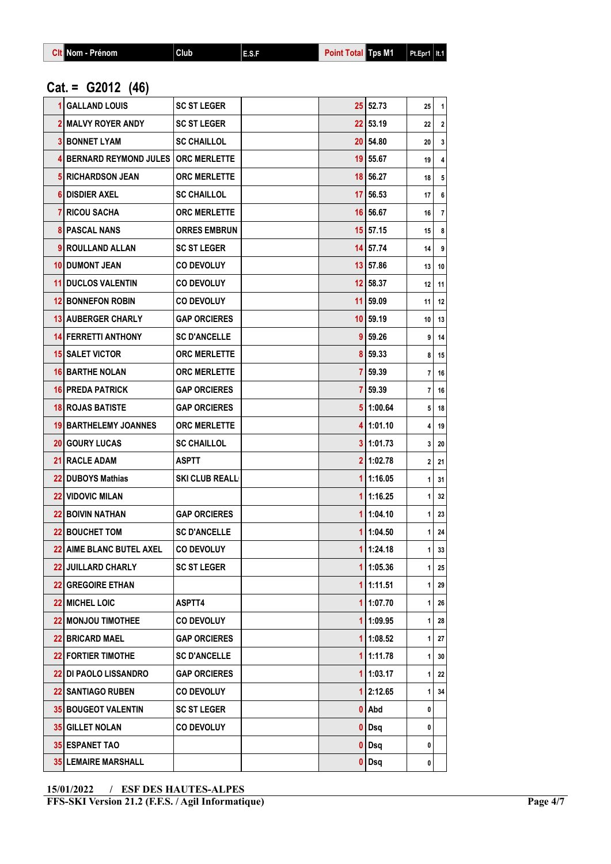|  | <b>Git Nom - Prénom</b> | Club | E.S.F | <b>Point Total Tos Mill</b> |  | $Pt.Epr1$   It.1 |
|--|-------------------------|------|-------|-----------------------------|--|------------------|
|--|-------------------------|------|-------|-----------------------------|--|------------------|

## Cat. = G2012 (46)

| <b>GALLAND LOUIS</b>                   | <b>SC ST LEGER</b>    |    | 25 52.73     | 25             | 1  |
|----------------------------------------|-----------------------|----|--------------|----------------|----|
| <b>2I MALVY ROYER ANDY</b>             | <b>SC ST LEGER</b>    |    | $22$   53.19 | 22             | 2  |
| <b>3 BONNET LYAM</b>                   | <b>SC CHAILLOL</b>    |    | 20 54.80     | 20             | 3  |
| 4 BERNARD REYMOND JULES   ORC MERLETTE |                       |    | 19 55.67     | 19             | 4  |
| <b>5 RICHARDSON JEAN</b>               | <b>ORC MERLETTE</b>   |    | 18 56.27     | 18             | 5  |
| 61 DISDIER AXEL                        | <b>SC CHAILLOL</b>    | 17 | 56.53        | 17             | 6  |
| <b>RICOU SACHA</b>                     | <b>ORC MERLETTE</b>   |    | 16 56.67     | 16             | 7  |
| <b>8 PASCAL NANS</b>                   | <b>ORRES EMBRUN</b>   |    | $15$ 57.15   | 15             | 8  |
| 9 ROULLAND ALLAN                       | <b>SC ST LEGER</b>    |    | 14 57.74     | 14             | 9  |
| <b>10 DUMONT JEAN</b>                  | <b>CO DEVOLUY</b>     |    | 13 57.86     | 13             | 10 |
| <b>11 DUCLOS VALENTIN</b>              | <b>CO DEVOLUY</b>     |    | $12$ 58.37   | 12             | 11 |
| <b>12 BONNEFON ROBIN</b>               | <b>CO DEVOLUY</b>     |    | $11$   59.09 | 11             | 12 |
| <b>13 AUBERGER CHARLY</b>              | <b>GAP ORCIERES</b>   |    | $10$ 59.19   | 10             | 13 |
| <b>14 FERRETTI ANTHONY</b>             | <b>SC D'ANCELLE</b>   | 9  | 59.26        | 9              | 14 |
| <b>15 SALET VICTOR</b>                 | <b>ORC MERLETTE</b>   |    | 8 59.33      | 8              | 15 |
| <b>16 BARTHE NOLAN</b>                 | <b>ORC MERLETTE</b>   |    | 7 59.39      | 7              | 16 |
| <b>16 PREDA PATRICK</b>                | <b>GAP ORCIERES</b>   |    | 7 59.39      | 7              | 16 |
| <b>18 ROJAS BATISTE</b>                | <b>GAP ORCIERES</b>   |    | 5 1:00.64    | 5              | 18 |
| <b>19 BARTHELEMY JOANNES</b>           | <b>ORC MERLETTE</b>   |    | 411:01.10    | 4              | 19 |
| <b>20 GOURY LUCAS</b>                  | <b>SC CHAILLOL</b>    |    | 3 1:01.73    | 3              | 20 |
| <b>21 RACLE ADAM</b>                   | <b>ASPTT</b>          |    | 211:02.78    | 2 <sup>1</sup> | 21 |
| 22 DUBOYS Mathias                      | <b>SKI CLUB REALL</b> |    | 1 1:16.05    | 1              | 31 |
| <b>22 VIDOVIC MILAN</b>                |                       | 1  | 1:16.25      | 1              | 32 |
| <b>22 BOIVIN NATHAN</b>                | <b>GAP ORCIERES</b>   |    | 1 1:04.10    | 1              | 23 |
| <b>22 BOUCHET TOM</b>                  | <b>SC D'ANCELLE</b>   |    | 1 1:04.50    | 1              | 24 |
| <b>22 AIME BLANC BUTEL AXEL</b>        | <b>CO DEVOLUY</b>     | 1  | 1:24.18      | 1              | 33 |
| 22 JUILLARD CHARLY                     | <b>SC ST LEGER</b>    |    | 1 1:05.36    | 1              | 25 |
| 22 GREGOIRE ETHAN                      |                       |    | 1 1:11.51    | 1              | 29 |
| 22 MICHEL LOIC                         | ASPTT4                |    | 11:07.70     | 1              | 26 |
| 22 MONJOU TIMOTHEE                     | <b>CO DEVOLUY</b>     |    | 1 1:09.95    | 1              | 28 |
| <b>22 BRICARD MAEL</b>                 | <b>GAP ORCIERES</b>   |    | 1 1:08.52    | 1              | 27 |
| <b>22 FORTIER TIMOTHE</b>              | <b>SC D'ANCELLE</b>   |    | 1 1:11.78    | 1              | 30 |
| <b>22 DI PAOLO LISSANDRO</b>           | <b>GAP ORCIERES</b>   |    | 1 1:03.17    | 1              | 22 |
| <b>22 SANTIAGO RUBEN</b>               | <b>CO DEVOLUY</b>     |    | 1 2:12.65    | 1              | 34 |
| <b>35 BOUGEOT VALENTIN</b>             | <b>SC ST LEGER</b>    |    | $0$ Abd      | 0              |    |
| 35 GILLET NOLAN                        | <b>CO DEVOLUY</b>     |    | $0$ Dsq      | 0              |    |
| <b>35 ESPANET TAO</b>                  |                       |    | $0 $ Dsq     | 0              |    |
| <b>35 LEMAIRE MARSHALL</b>             |                       |    | $0$ Dsq      | 0              |    |

<sup>15/01/2022 /</sup> ESF DES HAUTES-ALPES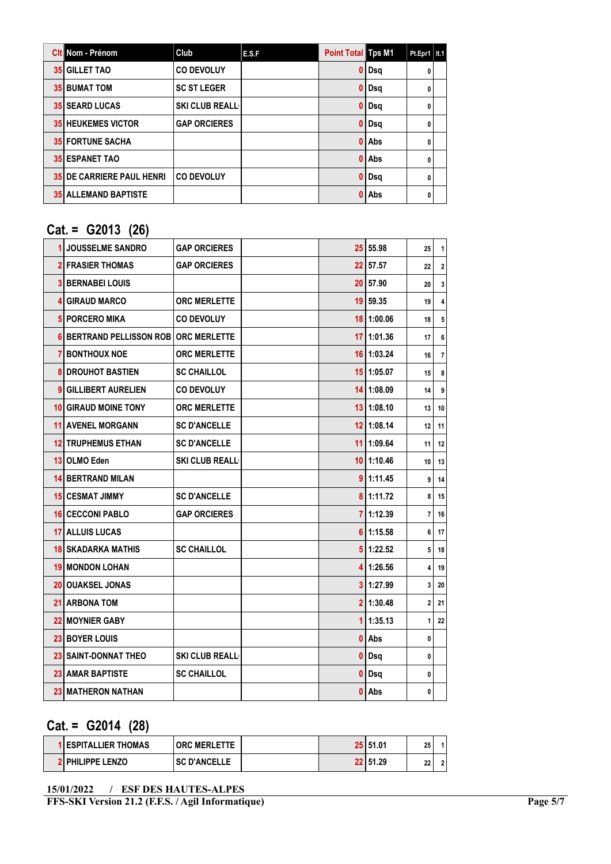| <b>Cit Nom - Prénom</b>          | Club                  | E.S.F | <b>Point Total Tps M1</b> |       | $Pt.Epr1$   It.1 |  |
|----------------------------------|-----------------------|-------|---------------------------|-------|------------------|--|
| <b>35 GILLET TAO</b>             | <b>CO DEVOLUY</b>     |       | 0                         | Dsg   | 0                |  |
| <b>35 BUMAT TOM</b>              | <b>SC ST LEGER</b>    |       | 0                         | Dsq   | 0                |  |
| <b>35 SEARD LUCAS</b>            | <b>SKI CLUB REALL</b> |       | O                         | Dsq   | 0                |  |
| <b>35 HEUKEMES VICTOR</b>        | <b>GAP ORCIERES</b>   |       | 0                         | Dsq   | 0                |  |
| <b>35 FORTUNE SACHA</b>          |                       |       | O                         | l Abs | 0                |  |
| <b>35 ESPANET TAO</b>            |                       |       |                           | Abs   | 0                |  |
| <b>35 DE CARRIERE PAUL HENRI</b> | <b>CO DEVOLUY</b>     |       | 0                         | Dsg   | 0                |  |
| <b>35 ALLEMAND BAPTISTE</b>      |                       |       | Λ                         | Abs   | 0                |  |

### Cat. = G2013 (26)

| 1  | <b>JOUSSELME SANDRO</b>               | <b>GAP ORCIERES</b>   |              | 25 55.98       | 25 | 1              |
|----|---------------------------------------|-----------------------|--------------|----------------|----|----------------|
|    | <b>2 FRASIER THOMAS</b>               | <b>GAP ORCIERES</b>   |              | $22$ 57.57     | 22 | $\mathbf{2}$   |
|    | I BERNABEI LOUIS                      |                       |              | 20 57.90       | 20 | 3              |
| 4  | <b>GIRAUD MARCO</b>                   | <b>ORC MERLETTE</b>   |              | 19 59.35       | 19 | 4              |
| 5  | <b>PORCERO MIKA</b>                   | <b>CO DEVOLUY</b>     |              | $18$   1:00.06 | 18 | 5              |
| 6  | BERTRAND PELLISSON ROB   ORC MERLETTE |                       |              | 17 1:01.36     | 17 | 6              |
|    | 7 BONTHOUX NOE                        | <b>ORC MERLETTE</b>   |              | $16$   1:03.24 | 16 | $\overline{7}$ |
| 8  | DROUHOT BASTIEN                       | <b>SC CHAILLOL</b>    |              | 15 1:05.07     | 15 | 8              |
| 9  | <b>GILLIBERT AURELIEN</b>             | <b>CO DEVOLUY</b>     |              | $14$   1:08.09 | 14 | 9              |
|    | <b>10 GIRAUD MOINE TONY</b>           | <b>ORC MERLETTE</b>   |              | 13 1:08.10     | 13 | 10             |
| 11 | <b>AVENEL MORGANN</b>                 | <b>SC D'ANCELLE</b>   |              | $12$   1:08.14 | 12 | 11             |
|    | <b>12 TRUPHEMUS ETHAN</b>             | <b>SC D'ANCELLE</b>   |              | $11$   1:09.64 | 11 | 12             |
|    | 13 OLMO Eden                          | <b>SKI CLUB REALL</b> |              | $10$ 1:10.46   | 10 | 13             |
|    | <b>14 BERTRAND MILAN</b>              |                       |              | 911:11.45      | 9  | 14             |
|    | <b>15 CESMAT JIMMY</b>                | <b>SC D'ANCELLE</b>   |              | 8 1:11.72      | 8  | 15             |
|    | <b>16 CECCONI PABLO</b>               | <b>GAP ORCIERES</b>   |              | 7 1:12.39      | 7  | 16             |
|    | <b>17 ALLUIS LUCAS</b>                |                       |              | 61:15.58       | 6  | 17             |
|    | <b>18 SKADARKA MATHIS</b>             | <b>SC CHAILLOL</b>    |              | 511:22.52      | 5  | 18             |
|    | <b>19 MONDON LOHAN</b>                |                       |              | 41:26.56       | 4  | 19             |
|    | <b>20 OUAKSEL JONAS</b>               |                       |              | 311:27.99      | 3  | 20             |
|    | <b>21 ARBONA TOM</b>                  |                       |              | 2 1:30.48      | 2  | 21             |
|    | <b>22 MOYNIER GABY</b>                |                       | $\mathbf{1}$ | 1:35.13        | 1  | 22             |
|    | 23 BOYER LOUIS                        |                       |              | 0 Abs          | 0  |                |
|    | <b>23 SAINT-DONNAT THEO</b>           | <b>SKI CLUB REALL</b> | $\mathbf{0}$ | Dsq            | 0  |                |
|    | <b>23 AMAR BAPTISTE</b>               | <b>SC CHAILLOL</b>    | 0            | Dsq            | 0  |                |
|    | <b>23 MATHERON NATHAN</b>             |                       | 0            | Abs            | 0  |                |

# Cat. = G2014 (28)

| <b>I ESPITALLIER THOMAS</b> | <b>ORC MERLETTE</b> |  | 25 51.01   | 25      |  |
|-----------------------------|---------------------|--|------------|---------|--|
| <b>2 PHILIPPE LENZO</b>     | <b>SC D'ANCELLE</b> |  | 22   51.29 | າາ<br>" |  |

<sup>15/01/2022 /</sup> ESF DES HAUTES-ALPES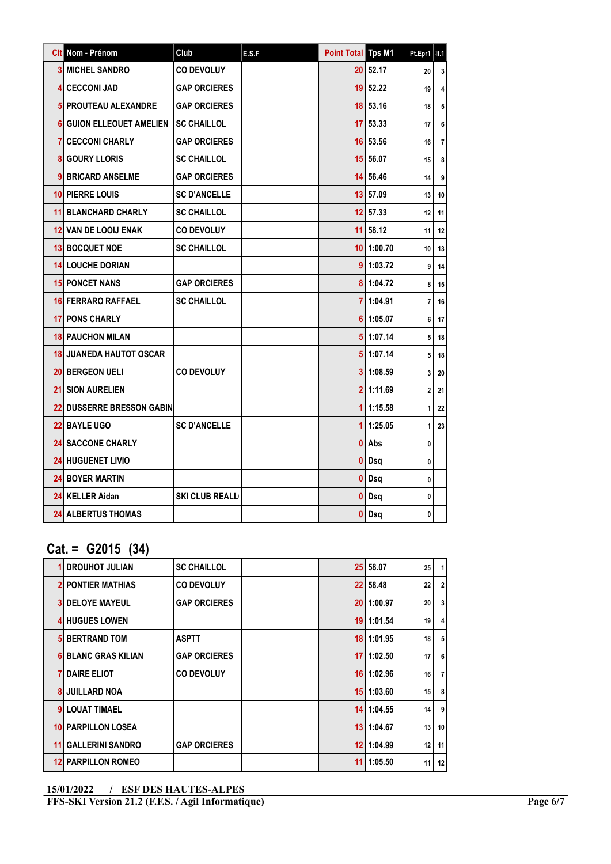|   | Clt Nom - Prénom               | Club                  | E.S.F | <b>Point Total Tps M1</b> |                | Pt.Epr1                 | It.1           |
|---|--------------------------------|-----------------------|-------|---------------------------|----------------|-------------------------|----------------|
|   | <b>3 MICHEL SANDRO</b>         | <b>CO DEVOLUY</b>     |       |                           | 20 52.17       | 20                      | 3              |
|   | 4 CECCONI JAD                  | <b>GAP ORCIERES</b>   |       |                           | $19$ 52.22     | 19                      | 4              |
|   | 5 PROUTEAU ALEXANDRE           | <b>GAP ORCIERES</b>   |       |                           | $18$ 53.16     | 18                      | 5              |
|   | 6 GUION ELLEOUET AMELIEN       | <b>SC CHAILLOL</b>    |       | 17 <sup>1</sup>           | 53.33          | 17                      | 6              |
|   | 7   CECCONI CHARLY             | <b>GAP ORCIERES</b>   |       |                           | 16 53.56       | 16                      | $\overline{7}$ |
| 8 | <b>GOURY LLORIS</b>            | <b>SC CHAILLOL</b>    |       |                           | 15 56.07       | 15                      | 8              |
|   | 9 BRICARD ANSELME              | <b>GAP ORCIERES</b>   |       |                           | 14 56.46       | 14                      | 9              |
|   | 10 PIERRE LOUIS                | <b>SC D'ANCELLE</b>   |       |                           | 13 57.09       | 13                      | 10             |
|   | <b>11 BLANCHARD CHARLY</b>     | <b>SC CHAILLOL</b>    |       | 12 <sup>2</sup>           | 57.33          | 12                      | 11             |
|   | <b>12 VAN DE LOOIJ ENAK</b>    | <b>CO DEVOLUY</b>     |       | 11 I                      | 58.12          | 11                      | 12             |
|   | <b>13 BOCQUET NOE</b>          | <b>SC CHAILLOL</b>    |       |                           | $10$   1:00.70 | 10                      | 13             |
|   | <b>14 LOUCHE DORIAN</b>        |                       |       |                           | 911:03.72      | 9                       | 14             |
|   | <b>15 PONCET NANS</b>          | <b>GAP ORCIERES</b>   |       |                           | 8 1:04.72      | 8                       | 15             |
|   | <b>16 FERRARO RAFFAEL</b>      | <b>SC CHAILLOL</b>    |       |                           | 7 1:04.91      | $\overline{\mathbf{r}}$ | 16             |
|   | <b>17 PONS CHARLY</b>          |                       |       |                           | 611:05.07      | 6                       | 17             |
|   | <b>18 PAUCHON MILAN</b>        |                       |       |                           | 511:07.14      | 5                       | 18             |
|   | <b>18 JUANEDA HAUTOT OSCAR</b> |                       |       |                           | 511:07.14      | 5                       | 18             |
|   | <b>20 BERGEON UELI</b>         | <b>CO DEVOLUY</b>     |       |                           | 311:08.59      | 3                       | 20             |
|   | <b>21 SION AURELIEN</b>        |                       |       |                           | 211:11.69      | $\overline{a}$          | 21             |
|   | 22 DUSSERRE BRESSON GABIN      |                       |       |                           | 111:15.58      | 1                       | 22             |
|   | <b>22 BAYLE UGO</b>            | <b>SC D'ANCELLE</b>   |       | 1                         | 1:25.05        | 1                       | 23             |
|   | <b>24 SACCONE CHARLY</b>       |                       |       | 0                         | Abs            | 0                       |                |
|   | <b>24 HUGUENET LIVIO</b>       |                       |       | 0                         | Dsq            | 0                       |                |
|   | <b>24 BOYER MARTIN</b>         |                       |       | 0                         | Dsq            | 0                       |                |
|   | 24 KELLER Aidan                | <b>SKI CLUB REALL</b> |       | 0                         | Dsq            | 0                       |                |
|   | <b>24 ALBERTUS THOMAS</b>      |                       |       | 0                         | Dsq            | 0                       |                |

# Cat. = G2015 (34)

|    | <b>DROUHOT JULIAN</b>      | <b>SC CHAILLOL</b>  |    | 25 58.07       | 25 | $\mathbf{1}$    |
|----|----------------------------|---------------------|----|----------------|----|-----------------|
|    | <b>PONTIER MATHIAS</b>     | <b>CO DEVOLUY</b>   |    | 22 58.48       | 22 | $\overline{2}$  |
|    | <b>DELOYE MAYEUL</b>       | <b>GAP ORCIERES</b> |    | 20 1:00.97     | 20 | $\overline{3}$  |
|    | <b>4 HUGUES LOWEN</b>      |                     |    | 19 1:01.54     | 19 | 4               |
|    | <b>5 BERTRAND TOM</b>      | <b>ASPTT</b>        |    | 18 1:01.95     | 18 | 5 <sup>5</sup>  |
|    | <b>6 BLANC GRAS KILIAN</b> | <b>GAP ORCIERES</b> |    | 1711:02.50     | 17 | 6               |
|    | <b>DAIRE ELIOT</b>         | <b>CO DEVOLUY</b>   |    | $16$   1:02.96 | 16 | 7 I             |
|    | <b>JUILLARD NOA</b>        |                     |    | 15 1:03.60     | 15 | 8               |
|    | <b>LOUAT TIMAEL</b>        |                     |    | 14 1:04.55     | 14 | 9 <sup>1</sup>  |
|    | 10 PARPILLON LOSEA         |                     |    | 13 1:04.67     | 13 | 10 <sup>1</sup> |
| 11 | <b>GALLERINI SANDRO</b>    | <b>GAP ORCIERES</b> |    | $12$   1:04.99 | 12 | 11              |
|    | <b>12 PARPILLON ROMEO</b>  |                     | 11 | 1:05.50        | 11 | 12              |
|    |                            |                     |    |                |    |                 |